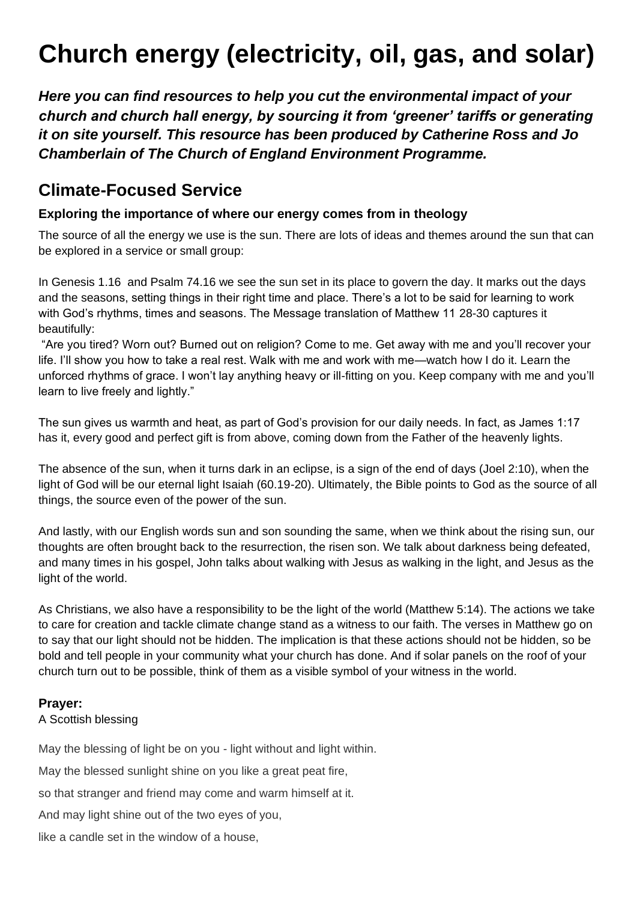# **Church energy (electricity, oil, gas, and solar)**

*Here you can find resources to help you cut the environmental impact of your church and church hall energy, by sourcing it from 'greener' tariffs or generating it on site yourself. This resource has been produced by Catherine Ross and Jo Chamberlain o[f](https://www.climatestewards.org/) The Church of England Environment Programme.*

# **Climate-Focused Service**

#### **Exploring the importance of where our energy comes from in theology**

The source of all the energy we use is the sun. There are lots of ideas and themes around the sun that can be explored in a service or small group:

In Genesis 1.16 and Psalm 74.16 we see the sun set in its place to govern the day. It marks out the days and the seasons, setting things in their right time and place. There's a lot to be said for learning to work with God's rhythms, times and seasons. The Message translation of Matthew 11 28-30 captures it beautifully:

"Are you tired? Worn out? Burned out on religion? Come to me. Get away with me and you'll recover your life. I'll show you how to take a real rest. Walk with me and work with me—watch how I do it. Learn the unforced rhythms of grace. I won't lay anything heavy or ill-fitting on you. Keep company with me and you'll learn to live freely and lightly."

The sun gives us warmth and heat, as part of God's provision for our daily needs. In fact, as James 1:17 has it, every good and perfect gift is from above, coming down from the Father of the heavenly lights.

The absence of the sun, when it turns dark in an eclipse, is a sign of the end of days (Joel 2:10), when the light of God will be our eternal light Isaiah (60.19-20). Ultimately, the Bible points to God as the source of all things, the source even of the power of the sun.

And lastly, with our English words sun and son sounding the same, when we think about the rising sun, our thoughts are often brought back to the resurrection, the risen son. We talk about darkness being defeated, and many times in his gospel, John talks about walking with Jesus as walking in the light, and Jesus as the light of the world.

As Christians, we also have a responsibility to be the light of the world (Matthew 5:14). The actions we take to care for creation and tackle climate change stand as a witness to our faith. The verses in Matthew go on to say that our light should not be hidden. The implication is that these actions should not be hidden, so be bold and tell people in your community what your church has done. And if solar panels on the roof of your church turn out to be possible, think of them as a visible symbol of your witness in the world.

#### **Prayer:**

#### A Scottish blessing

May the blessing of light be on you - light without and light within.

May the blessed sunlight shine on you like a great peat fire,

so that stranger and friend may come and warm himself at it.

And may light shine out of the two eyes of you,

like a candle set in the window of a house,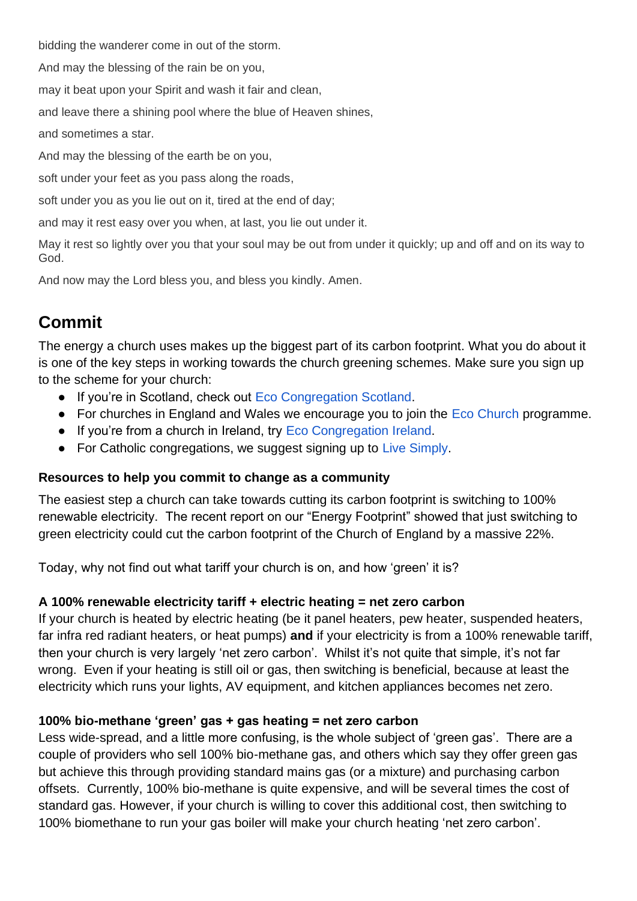bidding the wanderer come in out of the storm.

And may the blessing of the rain be on you,

may it beat upon your Spirit and wash it fair and clean,

and leave there a shining pool where the blue of Heaven shines,

and sometimes a star.

And may the blessing of the earth be on you,

soft under your feet as you pass along the roads,

soft under you as you lie out on it, tired at the end of day;

and may it rest easy over you when, at last, you lie out under it.

May it rest so lightly over you that your soul may be out from under it quickly; up and off and on its way to God.

And now may the Lord bless you, and bless you kindly. Amen.

# **Commit**

The energy a church uses makes up the biggest part of its carbon footprint. What you do about it is one of the key steps in working towards the church greening schemes. Make sure you sign up to the scheme for your church:

- If you're in Scotland, check out [Eco Congregation Scotland.](https://eur02.safelinks.protection.outlook.com/?url=https%3A%2F%2Fwww.ecocongregationscotland.org%2F&data=04%7C01%7Cjo.chamberlain%40churchofengland.org%7Cd6f353d1e6374873ab2308d91f8dfa06%7C95e2463b3ab047b49ac1587c77ee84f0%7C0%7C0%7C637575516916711667%7CUnknown%7CTWFpbGZsb3d8eyJWIjoiMC4wLjAwMDAiLCJQIjoiV2luMzIiLCJBTiI6Ik1haWwiLCJXVCI6Mn0%3D%7C1000&sdata=Fk3dHq0Npf7ZgCdTOtkDdwk503C8AVpmckwW08BRceQ%3D&reserved=0)
- For churches in England and Wales we encourage you to join the [Eco Church](https://eur02.safelinks.protection.outlook.com/?url=https%3A%2F%2Fecochurch.arocha.org.uk%2F&data=04%7C01%7Cjo.chamberlain%40churchofengland.org%7Cd6f353d1e6374873ab2308d91f8dfa06%7C95e2463b3ab047b49ac1587c77ee84f0%7C0%7C0%7C637575516916721662%7CUnknown%7CTWFpbGZsb3d8eyJWIjoiMC4wLjAwMDAiLCJQIjoiV2luMzIiLCJBTiI6Ik1haWwiLCJXVCI6Mn0%3D%7C1000&sdata=%2FtwJcwEukUb3kRGhqdC2qV6NiYZ4X7lO0p9638H1WOg%3D&reserved=0) programme.
- If you're from a church in Ireland, try [Eco Congregation Ireland.](https://eur02.safelinks.protection.outlook.com/?url=https%3A%2F%2Fwww.ecocongregationireland.com%2F&data=04%7C01%7Cjo.chamberlain%40churchofengland.org%7Cd6f353d1e6374873ab2308d91f8dfa06%7C95e2463b3ab047b49ac1587c77ee84f0%7C0%7C0%7C637575516916721662%7CUnknown%7CTWFpbGZsb3d8eyJWIjoiMC4wLjAwMDAiLCJQIjoiV2luMzIiLCJBTiI6Ik1haWwiLCJXVCI6Mn0%3D%7C1000&sdata=3%2Fud2pzco3LwwLvbOQsfVcTYoMpeqYV7S93vYZZZKas%3D&reserved=0)
- For Catholic congregations, we suggest signing up to [Live Simply.](https://eur02.safelinks.protection.outlook.com/?url=https%3A%2F%2Fcafod.org.uk%2FCampaign%2FLivesimply-award&data=04%7C01%7Cjo.chamberlain%40churchofengland.org%7Cd6f353d1e6374873ab2308d91f8dfa06%7C95e2463b3ab047b49ac1587c77ee84f0%7C0%7C0%7C637575516916731654%7CUnknown%7CTWFpbGZsb3d8eyJWIjoiMC4wLjAwMDAiLCJQIjoiV2luMzIiLCJBTiI6Ik1haWwiLCJXVCI6Mn0%3D%7C1000&sdata=PtUXDLb7WIB3b0Dat8U5KIyzQPe5YekLy7n%2BdnemoH4%3D&reserved=0)

#### **Resources to help you commit to change as a community**

The easiest step a church can take towards cutting its carbon footprint is switching to 100% renewable electricity. The recent report on our "Energy Footprint" showed that just switching to green electricity could cut the carbon footprint of the Church of England by a massive 22%.

Today, why not find out what tariff your church is on, and how 'green' it is?

#### **A 100% renewable electricity tariff + electric heating = net zero carbon**

If your church is heated by electric heating (be it panel heaters, pew heater, suspended heaters, far infra red radiant heaters, or heat pumps) **and** if your electricity is from a 100% renewable tariff, then your church is very largely 'net zero carbon'. Whilst it's not quite that simple, it's not far wrong. Even if your heating is still oil or gas, then switching is beneficial, because at least the electricity which runs your lights, AV equipment, and kitchen appliances becomes net zero.

#### **100% bio-methane 'green' gas + gas heating = net zero carbon**

Less wide-spread, and a little more confusing, is the whole subject of 'green gas'. There are a couple of providers who sell 100% bio-methane gas, and others which say they offer green gas but achieve this through providing standard mains gas (or a mixture) and purchasing carbon offsets. Currently, 100% bio-methane is quite expensive, and will be several times the cost of standard gas. However, if your church is willing to cover this additional cost, then switching to 100% biomethane to run your gas boiler will make your church heating 'net zero carbon'.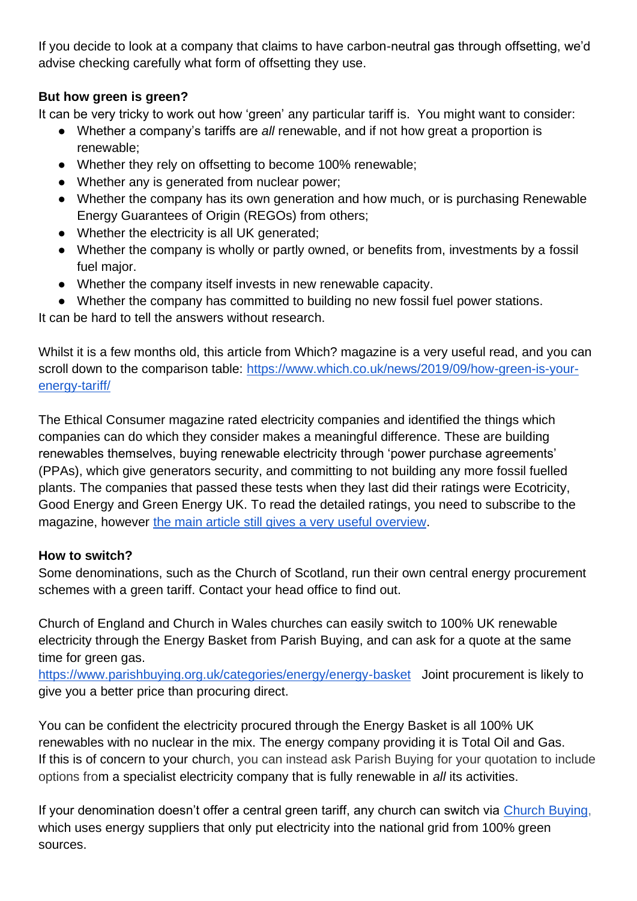If you decide to look at a company that claims to have carbon-neutral gas through offsetting, we'd advise checking carefully what form of offsetting they use.

### **But how green is green?**

It can be very tricky to work out how 'green' any particular tariff is. You might want to consider:

- Whether a company's tariffs are *all* renewable, and if not how great a proportion is renewable;
- Whether they rely on offsetting to become 100% renewable;
- Whether any is generated from nuclear power;
- Whether the company has its own generation and how much, or is purchasing Renewable Energy Guarantees of Origin (REGOs) from others;
- Whether the electricity is all UK generated;
- Whether the company is wholly or partly owned, or benefits from, investments by a fossil fuel major.
- Whether the company itself invests in new renewable capacity.
- Whether the company has committed to building no new fossil fuel power stations.

It can be hard to tell the answers without research.

Whilst it is a few months old, this article from Which? magazine is a very useful read, and you can scroll down to the comparison table: [https://www.which.co.uk/news/2019/09/how-green-is-your](https://www.which.co.uk/news/2019/09/how-green-is-your-energy-tariff/)[energy-tariff/](https://www.which.co.uk/news/2019/09/how-green-is-your-energy-tariff/)

The Ethical Consumer magazine rated electricity companies and identified the things which companies can do which they consider makes a meaningful difference. These are building renewables themselves, buying renewable electricity through 'power purchase agreements' (PPAs), which give generators security, and committing to not building any more fossil fuelled plants. The companies that passed these tests when they last did their ratings were Ecotricity, Good Energy and Green Energy UK. To read the detailed ratings, you need to subscribe to the magazine, however [the main article still gives a very useful overview.](https://www.ethicalconsumer.org/energy/shopping-guide/energy-suppliers)

## **How to switch?**

Some denominations, such as the Church of Scotland, run their own central energy procurement schemes with a green tariff. Contact your head office to find out.

Church of England and Church in Wales churches can easily switch to 100% UK renewable electricity through the Energy Basket from Parish Buying, and can ask for a quote at the same time for green gas.

<https://www.parishbuying.org.uk/categories/energy/energy-basket>Joint procurement is likely to give you a better price than procuring direct.

You can be confident the electricity procured through the Energy Basket is all 100% UK renewables with no nuclear in the mix. The energy company providing it is Total Oil and Gas. If this is of concern to your church, you can instead ask Parish Buying for your quotation to include options from a specialist electricity company that is fully renewable in *all* its activities.

If your denomination doesn't offer a central green tariff, any church can switch via [Church Buying,](https://www.churchbuying.org.uk/switch-to-green) which uses energy suppliers that only put electricity into the national grid from 100% green sources.